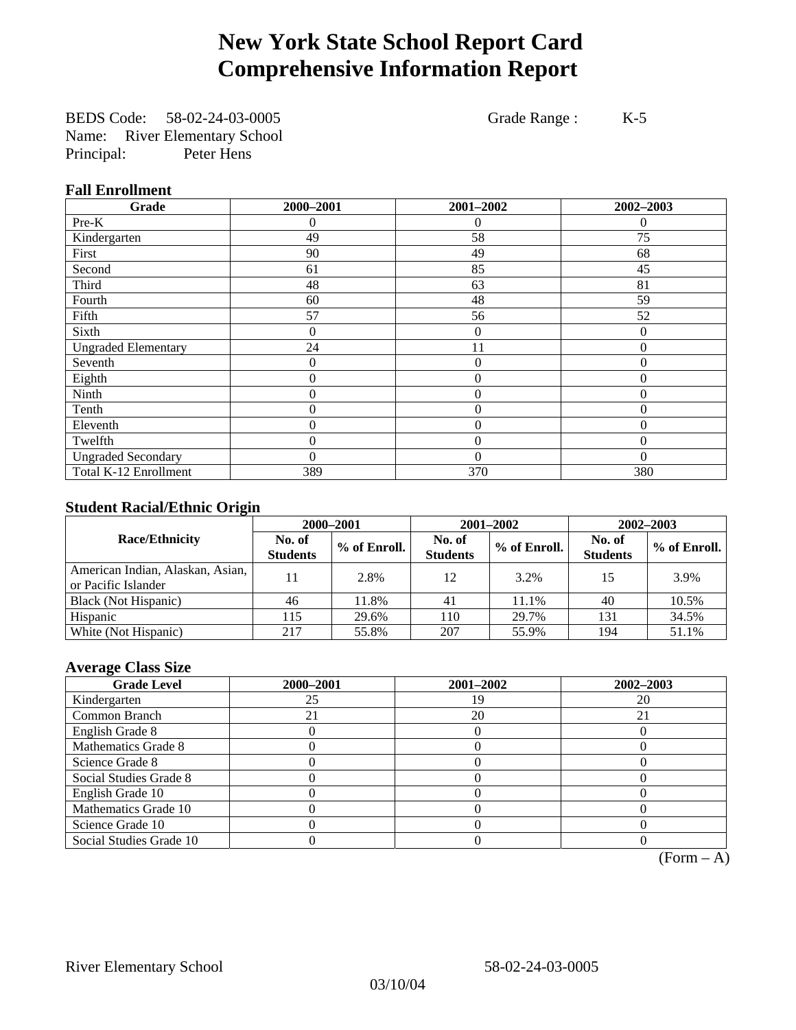# **New York State School Report Card Comprehensive Information Report**

BEDS Code: 58-02-24-03-0005 Grade Range : K-5 Name: River Elementary School Principal: Peter Hens

### **Fall Enrollment**

| Grade                      | 2000-2001 | 2001-2002        | 2002-2003      |
|----------------------------|-----------|------------------|----------------|
| Pre-K                      | $^{(1)}$  | $\Omega$         | $\theta$       |
| Kindergarten               | 49        | 58               | 75             |
| First                      | 90        | 49               | 68             |
| Second                     | 61        | 85               | 45             |
| Third                      | 48        | 63               | 81             |
| Fourth                     | 60        | 48               | 59             |
| Fifth                      | 57        | 56               | 52             |
| Sixth                      | 0         | 0                | $\Omega$       |
| <b>Ungraded Elementary</b> | 24        | 11               | $\theta$       |
| Seventh                    | 0         | $\theta$         | $\theta$       |
| Eighth                     | 0         | $\theta$         | $\theta$       |
| Ninth                      | 0         | $\theta$         | $\Omega$       |
| Tenth                      | 0         | $\overline{0}$   | $\overline{0}$ |
| Eleventh                   | 0         | $\overline{0}$   | $\overline{0}$ |
| Twelfth                    | 0         | $\boldsymbol{0}$ | $\Omega$       |
| <b>Ungraded Secondary</b>  | 0         | $\theta$         | $\Omega$       |
| Total K-12 Enrollment      | 389       | 370              | 380            |

### **Student Racial/Ethnic Origin**

|                                                         | 2000-2001                 |              |                           | 2001-2002    | $2002 - 2003$             |                |
|---------------------------------------------------------|---------------------------|--------------|---------------------------|--------------|---------------------------|----------------|
| <b>Race/Ethnicity</b>                                   | No. of<br><b>Students</b> | % of Enroll. | No. of<br><b>Students</b> | % of Enroll. | No. of<br><b>Students</b> | $%$ of Enroll. |
| American Indian, Alaskan, Asian,<br>or Pacific Islander |                           | 2.8%         | 12                        | 3.2%         | 15                        | 3.9%           |
| Black (Not Hispanic)                                    | 46                        | 11.8%        | 41                        | 11.1%        | 40                        | 10.5%          |
| Hispanic                                                | 115                       | 29.6%        | 110                       | 29.7%        | 131                       | 34.5%          |
| White (Not Hispanic)                                    | 217                       | 55.8%        | 207                       | 55.9%        | 194                       | 51.1%          |

### **Average Class Size**

| <b>Grade Level</b>      | 2000-2001 | 2001-2002 | 2002-2003 |
|-------------------------|-----------|-----------|-----------|
| Kindergarten            | 25        | 1 G       | 20        |
| Common Branch           |           | 20        | 21        |
| English Grade 8         |           |           |           |
| Mathematics Grade 8     |           |           |           |
| Science Grade 8         |           |           |           |
| Social Studies Grade 8  |           |           |           |
| English Grade 10        |           |           |           |
| Mathematics Grade 10    |           |           |           |
| Science Grade 10        |           |           |           |
| Social Studies Grade 10 |           |           |           |

 $(Form - A)$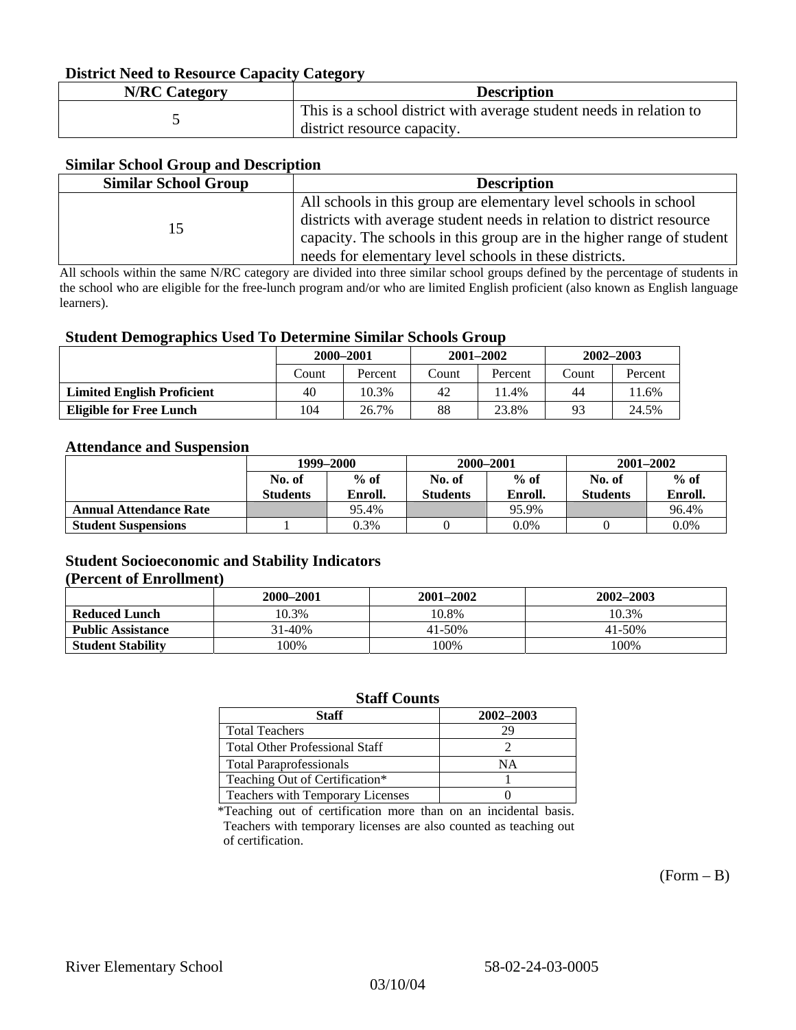### **District Need to Resource Capacity Category**

| <b>N/RC Category</b> | <b>Description</b>                                                                                 |
|----------------------|----------------------------------------------------------------------------------------------------|
|                      | This is a school district with average student needs in relation to<br>district resource capacity. |

### **Similar School Group and Description**

| <b>Similar School Group</b> | <b>Description</b>                                                     |
|-----------------------------|------------------------------------------------------------------------|
|                             | All schools in this group are elementary level schools in school       |
| 15                          | districts with average student needs in relation to district resource  |
|                             | capacity. The schools in this group are in the higher range of student |
|                             | needs for elementary level schools in these districts.                 |

All schools within the same N/RC category are divided into three similar school groups defined by the percentage of students in the school who are eligible for the free-lunch program and/or who are limited English proficient (also known as English language learners).

#### **Student Demographics Used To Determine Similar Schools Group**

| . .                               | 2000-2001 |         | $2001 - 2002$ |         | $2002 - 2003$ |         |
|-----------------------------------|-----------|---------|---------------|---------|---------------|---------|
|                                   | Count     | Percent | Count         | Percent | Count         | Percent |
| <b>Limited English Proficient</b> | 40        | 10.3%   | 42            | 1.4%    | 44            | 11.6%   |
| <b>Eligible for Free Lunch</b>    | 104       | 26.7%   | 88            | 23.8%   | 93            | 24.5%   |

#### **Attendance and Suspension**

|                               | 1999–2000        |         | 2000-2001        |         | $2001 - 2002$   |         |
|-------------------------------|------------------|---------|------------------|---------|-----------------|---------|
|                               | $%$ of<br>No. of |         | $%$ of<br>No. of |         | No. of          | $%$ of  |
|                               | <b>Students</b>  | Enroll. | <b>Students</b>  | Enroll. | <b>Students</b> | Enroll. |
| <b>Annual Attendance Rate</b> |                  | 95.4%   |                  | 95.9%   |                 | 96.4%   |
| <b>Student Suspensions</b>    |                  | 0.3%    |                  | $0.0\%$ |                 | 0.0%    |

### **Student Socioeconomic and Stability Indicators (Percent of Enrollment)**

|                          | 2001–2002<br>2000-2001 |        | 2002-2003 |
|--------------------------|------------------------|--------|-----------|
| <b>Reduced Lunch</b>     | 10.3%                  | 10.8%  | 10.3%     |
| <b>Public Assistance</b> | 31-40%                 | 41-50% | 41-50%    |
| <b>Student Stability</b> | 00%                    | 100%   | 100%      |

#### **Staff Counts**

| Staff                                 | 2002-2003 |
|---------------------------------------|-----------|
| <b>Total Teachers</b>                 | 29        |
| <b>Total Other Professional Staff</b> |           |
| <b>Total Paraprofessionals</b>        | NΑ        |
| Teaching Out of Certification*        |           |
| Teachers with Temporary Licenses      |           |

\*Teaching out of certification more than on an incidental basis. Teachers with temporary licenses are also counted as teaching out of certification.

 $(Form - B)$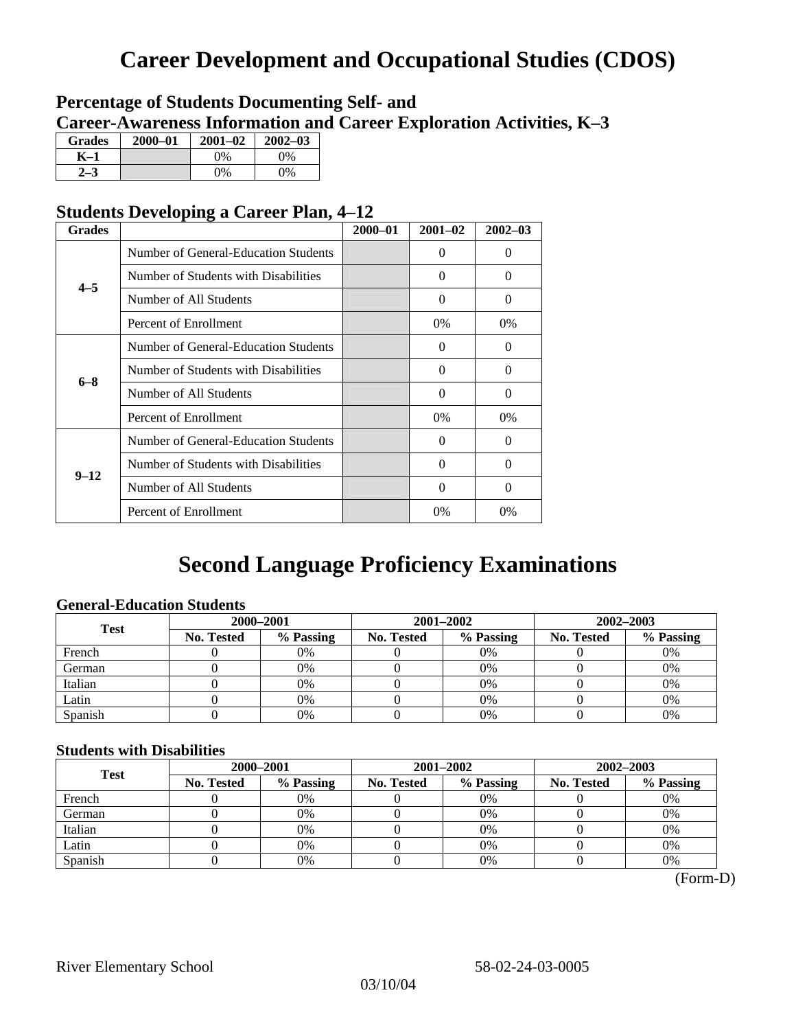# **Career Development and Occupational Studies (CDOS)**

### **Percentage of Students Documenting Self- and Career-Awareness Information and Career Exploration Activities, K–3**

| <b>Grades</b> | $2000 - 01$ | $2001 - 02$ | $2002 - 03$ |
|---------------|-------------|-------------|-------------|
| K–1           |             | $0\%$       | 0%          |
| $2 - 3$       |             | 0%          | 0%          |

### **Students Developing a Career Plan, 4–12**

| <b>Grades</b> |                                      | $2000 - 01$ | $2001 - 02$ | $2002 - 03$ |
|---------------|--------------------------------------|-------------|-------------|-------------|
|               | Number of General-Education Students |             | $\Omega$    | $\theta$    |
| $4 - 5$       | Number of Students with Disabilities |             | $\Omega$    | 0           |
|               | Number of All Students               |             | 0           | 0           |
|               | Percent of Enrollment                |             | 0%          | 0%          |
|               | Number of General-Education Students |             | $\Omega$    | 0           |
| $6 - 8$       | Number of Students with Disabilities |             | $\Omega$    | $\Omega$    |
|               | Number of All Students               |             | $\Omega$    | $\Omega$    |
|               | Percent of Enrollment                |             | $0\%$       | $0\%$       |
|               | Number of General-Education Students |             | $\Omega$    | 0           |
| $9 - 12$      | Number of Students with Disabilities |             | 0           | 0           |
|               | Number of All Students               |             | $\Omega$    | $\theta$    |
|               | Percent of Enrollment                |             | 0%          | $0\%$       |

# **Second Language Proficiency Examinations**

### **General-Education Students**

| <b>Test</b> | 2000-2001         |           |            | 2001-2002 | $2002 - 2003$ |           |
|-------------|-------------------|-----------|------------|-----------|---------------|-----------|
|             | <b>No. Tested</b> | % Passing | No. Tested | % Passing | No. Tested    | % Passing |
| French      |                   | 0%        |            | $0\%$     |               | 0%        |
| German      |                   | 0%        |            | $0\%$     |               | 0%        |
| Italian     |                   | 0%        |            | 0%        |               | 0%        |
| Latin       |                   | 0%        |            | 0%        |               | 0%        |
| Spanish     |                   | 0%        |            | 0%        |               | 0%        |

### **Students with Disabilities**

| <b>Test</b> | 2000-2001  |           |            | 2001-2002 | 2002-2003  |           |  |
|-------------|------------|-----------|------------|-----------|------------|-----------|--|
|             | No. Tested | % Passing | No. Tested | % Passing | No. Tested | % Passing |  |
| French      |            | 0%        |            | 0%        |            | 0%        |  |
| German      |            | 0%        |            | $0\%$     |            | 0%        |  |
| Italian     |            | 0%        |            | 0%        |            | 0%        |  |
| Latin       |            | 0%        |            | 0%        |            | 0%        |  |
| Spanish     |            | 0%        |            | 0%        |            | 0%        |  |

 <sup>(</sup>Form-D)